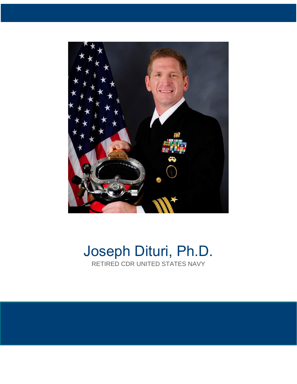

# Joseph Dituri, Ph.D. RETIRED CDR UNITED STATES NAVY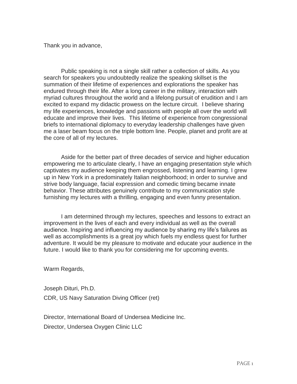Thank you in advance,

Public speaking is not a single skill rather a collection of skills. As you search for speakers you undoubtedly realize the speaking skillset is the summation of their lifetime of experiences and explorations the speaker has endured through their life. After a long career in the military, interaction with myriad cultures throughout the world and a lifelong pursuit of erudition and I am excited to expand my didactic prowess on the lecture circuit. I believe sharing my life experiences, knowledge and passions with people all over the world will educate and improve their lives. This lifetime of experience from congressional briefs to international diplomacy to everyday leadership challenges have given me a laser beam focus on the triple bottom line. People, planet and profit are at the core of all of my lectures.

Aside for the better part of three decades of service and higher education empowering me to articulate clearly, I have an engaging presentation style which captivates my audience keeping them engrossed, listening and learning. I grew up in New York in a predominately Italian neighborhood; in order to survive and strive body language, facial expression and comedic timing became innate behavior. These attributes genuinely contribute to my communication style furnishing my lectures with a thrilling, engaging and even funny presentation.

I am determined through my lectures, speeches and lessons to extract an improvement in the lives of each and every individual as well as the overall audience. Inspiring and influencing my audience by sharing my life's failures as well as accomplishments is a great joy which fuels my endless quest for further adventure. It would be my pleasure to motivate and educate your audience in the future. I would like to thank you for considering me for upcoming events.

Warm Regards,

Joseph Dituri, Ph.D. CDR, US Navy Saturation Diving Officer (ret)

Director, International Board of Undersea Medicine Inc. Director, Undersea Oxygen Clinic LLC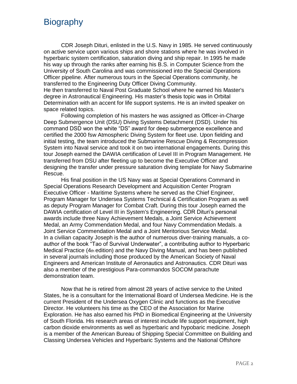#### **Biography**

CDR Joseph Dituri, enlisted in the U.S. Navy in 1985. He served continuously on active service upon various ships and shore stations where he was involved in hyperbaric system certification, saturation diving and ship repair. In 1995 he made his way up through the ranks after earning his B.S. in Computer Science from the University of South Carolina and was commissioned into the Special Operations Officer pipeline. After numerous tours in the Special Operations community, he transferred to the Engineering Duty Officer Diving Community.

He then transferred to Naval Post Graduate School where he earned his Master's degree in Astronautical Engineering. His master's thesis topic was in Orbital Determination with an accent for life support systems. He is an invited speaker on space related topics.

Following completion of his masters he was assigned as Officer-in-Charge Deep Submergence Unit (DSU) Diving Systems Detachment (DSD). Under his command DSD won the white "DS" award for deep submergence excellence and certified the 2000 fsw Atmospheric Diving System for fleet use. Upon fielding and initial testing, the team introduced the Submarine Rescue Diving & Recompression System into Naval service and took it on two international engagements. During this tour Joseph earned the DAWIA certification of Level III in Program Management. He transferred from DSU after fleeting up to become the Executive Officer and designing the transfer under pressure saturation diving template for Navy Submarine Rescue.

His final position in the US Navy was at Special Operations Command in Special Operations Research Development and Acquisition Center Program Executive Officer - Maritime Systems where he served as the Chief Engineer, Program Manager for Undersea Systems Technical & Certification Program as well as deputy Program Manager for Combat Craft. During this tour Joseph earned the DAWIA certification of Level III in System's Engineering. CDR Dituri's personal awards include three Navy Achievement Medals, a Joint Service Achievement Medal, an Army Commendation Medal, and four Navy Commendation Medals. a Joint Service Commendation Medal and a Joint Meritorious Service Medal. In a civilian capacity Joseph is the author of numerous diver-training manuals, a coauthor of the book "Tao of Survival Underwater", a contributing author to Hyperbaric Medical Practice (4th edition) and the Navy Diving Manual, and has been published in several journals including those produced by the American Society of Naval Engineers and American Institute of Aeronautics and Astronautics. CDR Dituri was also a member of the prestigious Para-commandos SOCOM parachute demonstration team.

Now that he is retired from almost 28 years of active service to the United States, he is a consultant for the International Board of Undersea Medicine. He is the current President of the Undersea Oxygen Clinic and functions as the Executive Director. He volunteers his time as the CEO of the Association for Marine Exploration. He has also earned his PhD in Biomedical Engineering at the University of South Florida. His research areas of interest include life support equipment, high carbon dioxide environments as well as hyperbaric and hypobaric medicine. Joseph is a member of the American Bureau of Shipping Special Committee on Building and Classing Undersea Vehicles and Hyperbaric Systems and the National Offshore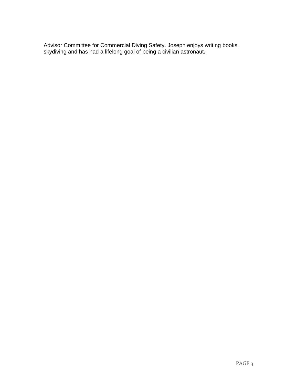Advisor Committee for Commercial Diving Safety. Joseph enjoys writing books, skydiving and has had a lifelong goal of being a civilian astronaut**.**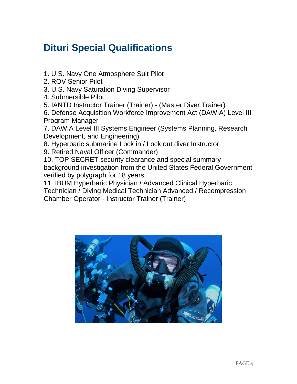# **Dituri Special Qualifications**

- 1. U.S. Navy One Atmosphere Suit Pilot
- 2. ROV Senior Pilot
- 3. U.S. Navy Saturation Diving Supervisor
- 4. Submersible Pilot
- 5. IANTD Instructor Trainer (Trainer) (Master Diver Trainer)

6. Defense Acquisition Workforce Improvement Act (DAWIA) Level III Program Manager

7. DAWIA Level III Systems Engineer (Systems Planning, Research Development, and Engineering)

- 8. Hyperbaric submarine Lock in / Lock out diver Instructor
- 9. Retired Naval Officer (Commander)

10. TOP SECRET security clearance and special summary background investigation from the United States Federal Government verified by polygraph for 18 years.

11. IBUM Hyperbaric Physician / Advanced Clinical Hyperbaric Technician / Diving Medical Technician Advanced / Recompression Chamber Operator - Instructor Trainer (Trainer)

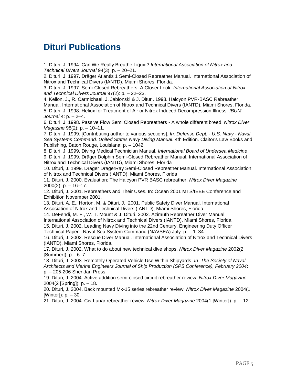#### **Dituri Publications**

1. Dituri, J. 1994. Can We Really Breathe Liquid? *International Association of Nitrox and Technical Divers Journal* 94(3): p. – 20–21.

2. Dituri, J. 1997. Dräger Atlantis 1 Semi-Closed Rebreather Manual. International Association of Nitrox and Technical Divers (IANTD), Miami Shores, Florida.

3. Dituri, J. 1997. Semi-Closed Rebreathers: A Closer Look. *International Association of Nitrox and Technical Divers Journal* 97(2): p. – 22–23.

4. Kellon, J., R. Carmichael, J. Jablonski & J. Dituri. 1998. Halcyon PVR-BASC Rebreather Manual. International Association of Nitrox and Technical Divers (IANTD), Miami Shores, Florida. 5. Dituri, J. 1998. Heliox for Treatment of Air or Nitrox Induced Decompression Illness. *IBUM Journal* 4: p. – 2–4.

6. Dituri, J. 1998. Passive Flow Semi Closed Rebreathers - A whole different breed. *Nitrox Diver Magazine* 98(2): p. – 10–11.

7. Dituri, J. 1999. [Contributing author to various sections]. *In: Defense Dept. - U.S. Navy - Naval Sea Systems Command. United States Navy Diving Manual*. 4th Edition. Claitor's Law Books and Publishing, Baton Rouge, Louisiana: p. – 1042

8. Dituri, J. 1999. Diving Medical Technician Manual. *International Board of Undersea Medicine*. 9. Dituri, J. 1999. Dräger Dolphin Semi-Closed Rebreather Manual. International Association of Nitrox and Technical Divers (IANTD), Miami Shores, Florida

10. Dituri, J. 1999. Dräger DrägerRay Semi-Closed Rebreather Manual. International Association of Nitrox and Technical Divers (IANTD), Miami Shores, Florida

11. Dituri, J. 2000. Evaluation: The Halcyon PVR BASC rebreather. *Nitrox Diver Magazine*   $2000(2)$ : p.  $-16-17$ .

12. Dituri, J. 2001. Rebreathers and Their Uses. In: Ocean 2001 MTS/IEEE Conference and Exhibition November 2001.

13. Dituri, A. E., Horton, M. & Dituri, J.. 2001. Public Safety Diver Manual. International Association of Nitrox and Technical Divers (IANTD), Miami Shores, Florida.

14. DeFendi, M. F., W. T. Mount & J. Dituri. 2002. Azimuth Rebreather Diver Manual. International Association of Nitrox and Technical Divers (IANTD), Miami Shores, Florida.

15. Dituri, J. 2002. Leading Navy Diving into the 22nd Century. Engineering Duty Officer Technical Paper - Naval Sea System Command (NAVSEA) July: p. – 1–34.

16. Dituri, J. 2002. Rescue Diver Manual. International Association of Nitrox and Technical Divers (IANTD), Miami Shores, Florida.

17. Dituri, J. 2002. What to do about new technical dive shops. *Nitrox Diver Magazine* 2002(2 [Summer]): p. –6–7.

18. Dituri, J. 2003. Remotely Operated Vehicle Use Within Shipyards. *In: The Society of Naval Architects and Marine Engineers Journal of Ship Production (SPS Conference), February 2004*: p. – 205-206 Sheridan Press.

19. Dituri, J. 2004. Active addition semi-closed circuit rebreather review. *Nitrox Diver Magazine*  2004(2 [Spring]): p. – 18.

20. Dituri, J. 2004. Back mounted Mk-15 series rebreather review. *Nitrox Diver Magazine* 2004(1 [Winter]): p. - 30.

21. Dituri, J. 2004. Cis-Lunar rebreather review. *Nitrox Diver Magazine* 2004(1 [Winter]): p. – 12.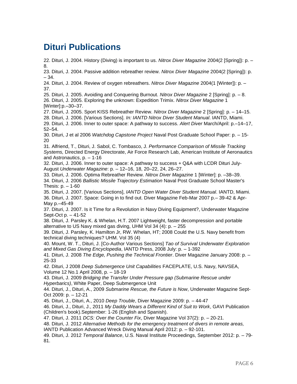#### **Dituri Publications**

22. Dituri, J. 2004. History (Diving) is important to us. *Nitrox Diver Magazine* 2004(2 [Spring]): p. – 8.

23. Dituri, J. 2004. Passive addition rebreather review. *Nitrox Diver Magazine* 2004(2 [Spring]): p. – 34.

24. Dituri, J. 2004. Review of oxygen rebreathers. *Nitrox Diver Magazine* 2004(1 [Winter]): p. – 37.

25. Dituri, J. 2005. Avoiding and Conquering Burnout. *Nitrox Diver Magazine* 2 [Spring]: p. – 8.

26. Dituri, J. 2005. Exploring the unknown: Expedition Trimix. *Nitrox Diver Magazine* 1 [Winter]:p.–30–37.

27. Dituri, J. 2005. Sport KISS Rebreather Review. *Nitrox Diver Magazine* 2 [Spring]: p. – 14–15.

28. Dituri, J. 2006. [Various Sections]. *In: IANTD Nitrox Diver Student Manual*. IANTD, Miami.

29. Dituri, J. 2006. Inner to outer space: A pathway to success. *Alert Diver* March/April: p.–14–17, 52–54.

30. Dituri, J et al 2006 *Watchdog Capstone Project* Naval Post Graduate School Paper: p. – 15- 20

31. Alfriend, T., Dituri, J. Sabol, C. Tombasco, J. *Performance Comparison of Missile Tracking Systems,* Directed Energy Directorate, Air Force Research Lab, American Institute of Aeronautics and Astronautics, p. – 1-16

32. Dituri, J. 2006. Inner to outer space: A pathway to success + Q&A with LCDR Dituri July-August *Underwater Magazine*: p. – 12–16, 18, 20–22, 24, 26–27.

33. Dituri, J. 2006. Optima Rebreather Review. *Nitrox Diver Magazine* 1 [Winter]: p. –38–39.

34. Dituri, J. 2006 *Ballistic Missile Trajectory Estimation* Naval Post Graduate School Master's Thesis: p. – 1-60

35. Dituri, J. 2007. [Various Sections], *IANTD Open Water Diver Student Manual*. IANTD, Miami. 36. Dituri, J. 2007. Space: Going in to find out. Diver Magazine Feb-Mar 2007 p.– 39-42 & Apr-May p.–45-49

37. Dituri, J. 2007. Is it Time for a Revolution in Navy Diving Equipment?, Underwater Magazine Sept-Oct p. – 41-52

38. Dituri, J. Parsley K. & Whelan, H.T. 2007 Lightweight, faster decompression and portable alternative to US Navy mixed gas diving, UHM Vol 34 (4): p. – 255

39. Dituri, J. Parsley, K. Hamilton Jr, RW. Whelan, HT; 2008 Could the U.S. Navy benefit from technical diving techniques? UHM. Vol 35 (4)

40. Mount, W. T., Dituri, J. [Co-Author Various Sections] *Tao of Survival Underwater Exploration and Mixed Gas Diving Encyclopedia*, IANTD Press, 2008 July: p. – 1-392

41. Dituri, J. 2008 *The Edge, Pushing the Technical Frontier*. Diver Magazine January 2008: p. – 25-33

42. Dituri, J 2008 *Deep Submergence Unit Capabilities* FACEPLATE, U.S. Navy, NAVSEA, Volume 12 No.1 April 2008, p. – 18-19

43. Dituri, J. 2009 *Bridging the Transfer Under Pressure gap (Submarine Rescue under Hyperbarics)*, White Paper, Deep Submergence Unit

44. Dituri, J., Dituri, A., 2009 *Submarine Rescue, the Future is Now*, Underwater Magazine Sept-Oct 2009: p. – 12-21

45. Dituri, J., Dituri, A., 2010 *Deep Trouble*, Diver Magazine 2009: p. – 44-47

46. Dituri, J., Dituri, J., 2011 *My Daddy Wears a Different Kind of Suit to Work*, GAVI Publication (Children's book).September: 1-26 (English and Spanish).

47. Dituri, J. 2011 *DCS: Over the Counter Fix*, Diver Magazine Vol 37(2): p. – 20-21.

48. Dituri, J. 2012 *Alternative Methods for the emergency treatment of divers in remote areas,*  IANTD Publication Advanced Wreck Diving Manual April 2012: p. – 92-101.

49. Dituri, J. 2012 *Temporal Balance*, U.S. Naval Institute Proceedings, September 2012: p. – 79- 81.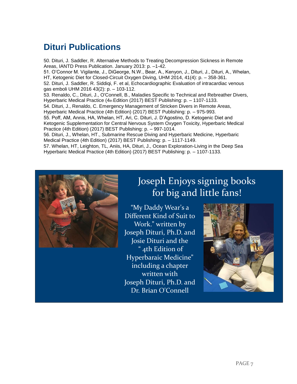### **Dituri Publications**

50. Dituri, J. Saddler, R. Alternative Methods to Treating Decompression Sickness in Remote Areas, IANTD Press Publication. January 2013: p. –1-42. 51. O'Connor M. Vigilante, J., DiGeorge, N.W., Bear, A., Kenyon, J., Dituri, J., Dituri, A., Whelan, HT, Ketogenic Diet for Closed-Circuit Oxygen Diving, UHM 2014, 41(4): p. – 358-361. 52. Dituri, J. Saddler, R. Siddiqi, F. et al, Echocardiographic Evaluation of intracardiac venous gas emboli UHM 2016 43(2): p. – 103-112. 53. Renaldo, C., Dituri, J., O'Connell, B., Maladies Specific to Technical and Rebreather Divers, Hyperbaric Medical Practice (4th Edition (2017) BEST Publishing: p. – 1107-1133. 54. Dituri, J., Renaldo, C. Emergency Management of Stricken Divers in Remote Areas, Hyperbaric Medical Practice (4th Edition) (2017) BEST Publishing: p. – 975-993. 55. Poff, AM, Annis, HA, Whelan, HT, Ari, C. Dituri, J. D'Agostino, D. Ketogenic Diet and Ketogenic Supplementation for Central Nervous System Oxygen Toxicity, Hyperbaric Medical Practice (4th Edition) (2017) BEST Publishing: p. – 997-1014. 56. Dituri, J., Whelan, HT., Submarine Rescue Diving and Hyperbaric Medicine, Hyperbaric Medical Practice (4th Edition) (2017) BEST Publishing: p. – 1117-1149.

57. Whelan, HT, Leighton, TL, Aniis, HA, Dituri, J., Ocean Exploration-Living in the Deep Sea Hyperbaric Medical Practice (4th Edition) (2017) BEST Publishing: p. – 1107-1133.



## Joseph Enjoys signing books for big and little fans!

"My Daddy Wear's a Different Kind of Suit to Work." written by Joseph Dituri, Ph.D. and Josie Dituri and the " 4th Edition of Hyperbaraic Medicine" including a chapter written with Joseph Dituri, Ph.D. and Dr. Brian O'Connell

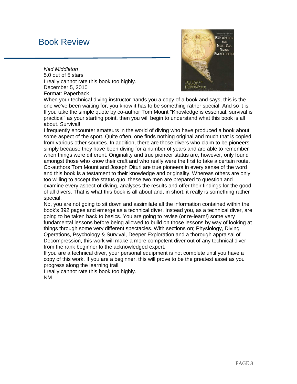#### Book Review

*Ned Middleton* 5.0 out of 5 stars I really cannot rate this book too highly. December 5, 2010 Format: Paperback



When your technical diving instructor hands you a copy of a book and says, this is the one we've been waiting for, you know it has to be something rather special. And so it is. If you take the simple quote by co-author Tom Mount "Knowledge is essential, survival is practical" as your starting point, then you will begin to understand what this book is all about. Survival!

I frequently encounter amateurs in the world of diving who have produced a book about some aspect of the sport. Quite often, one finds nothing original and much that is copied from various other sources. In addition, there are those divers who claim to be pioneers simply because they have been diving for a number of years and are able to remember when things were different. Originality and true pioneer status are, however, only found amongst those who know their craft and who really were the first to take a certain route. Co-authors Tom Mount and Joseph Dituri are true pioneers in every sense of the word and this book is a testament to their knowledge and originality. Whereas others are only too willing to accept the status quo, these two men are prepared to question and examine every aspect of diving, analyses the results and offer their findings for the good of all divers. That is what this book is all about and, in short, it really is something rather special.

No, you are not going to sit down and assimilate all the information contained within the book's 392 pages and emerge as a technical diver. Instead you, as a technical diver, are going to be taken back to basics. You are going to revise (or re-learn!) some very fundamental lessons before being allowed to build on those lessons by way of looking at things through some very different spectacles. With sections on; Physiology, Diving Operations, Psychology & Survival, Deeper Exploration and a thorough appraisal of Decompression, this work will make a more competent diver out of any technical diver from the rank beginner to the acknowledged expert.

If you are a technical diver, your personal equipment is not complete until you have a copy of this work. If you are a beginner, this will prove to be the greatest asset as you progress along the learning trail.

I really cannot rate this book too highly. NM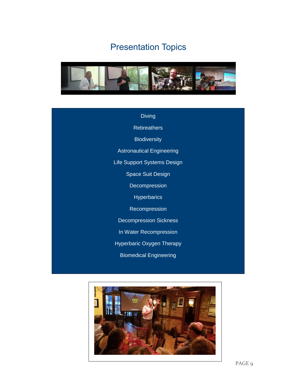# Presentation Topics



| <b>Diving</b>                    |
|----------------------------------|
| <b>Rebreathers</b>               |
| <b>Biodiversity</b>              |
| <b>Astronautical Engineering</b> |
| Life Support Systems Design      |
| <b>Space Suit Design</b>         |
| Decompression                    |
| <b>Hyperbarics</b>               |
| Recompression                    |
| <b>Decompression Sickness</b>    |
| In Water Recompression           |
| <b>Hyperbaric Oxygen Therapy</b> |
| <b>Biomedical Engineering</b>    |
|                                  |

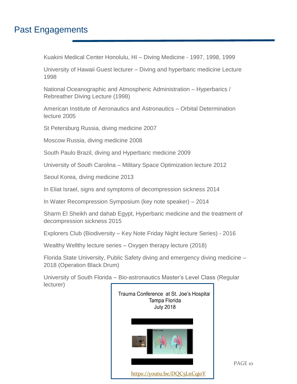#### Past Engagements

Kuakini Medical Center Honolulu, HI – Diving Medicine - 1997, 1998, 1999

University of Hawaii Guest lecturer – Diving and hyperbaric medicine Lecture 1998

National Oceanographic and Atmospheric Administration – Hyperbarics / Rebreather Diving Lecture (1998)

American Institute of Aeronautics and Astronautics – Orbital Determination lecture 2005

St Petersburg Russia, diving medicine 2007

Moscow Russia, diving medicine 2008

South Paulo Brazil, diving and Hyperbaric medicine 2009

University of South Carolina – Military Space Optimization lecture 2012

Seoul Korea, diving medicine 2013

In Eliat Israel, signs and symptoms of decompression sickness 2014

In Water Recompression Symposium (key note speaker) – 2014

Sharm El Sheikh and dahab Egypt, Hyperbaric medicine and the treatment of decompression sickness 2015

Explorers Club (Biodiversity – Key Note Friday Night lecture Series) - 2016

Wealthy Wellthy lecture series – Oxygen therapy lecture (2018)

Florida State University, Public Safety diving and emergency diving medicine – 2018 (Operation Black Drum)

University of South Florida – Bio-astronautics Master's Level Class (Regular lecturer)



PAGE 10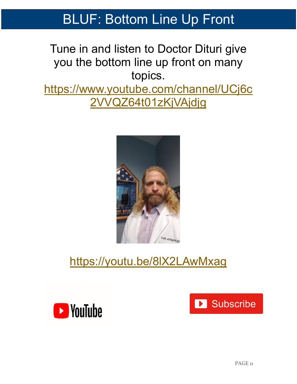# BLUF: Bottom Line Up Front

# Tune in and listen to Doctor Dituri give you the bottom line up front on many topics.

[https://www.youtube.com/channel/UCj6c](https://www.youtube.com/channel/UCj6c2VVQZ64t01zKjVAjdjg) [2VVQZ64t01zKjVAjdjg](https://www.youtube.com/channel/UCj6c2VVQZ64t01zKjVAjdjg)



# <https://youtu.be/8lX2LAwMxag>



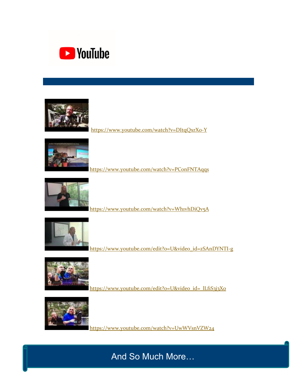



<https://www.youtube.com/watch?v=DItqQxrX0-Y>



<https://www.youtube.com/watch?v=PConFNTAqqs>



<https://www.youtube.com/watch?v=Wh1vhDiQv5A>



[https://www.youtube.com/edit?o=U&video\\_id=zSAnDYNTI-g](https://www.youtube.com/edit?o=U&video_id=zSAnDYNTI-g)



https://www.youtube.com/edit?o=U&video\_id=\_lLfiS3j3Xo



<https://www.youtube.com/watch?v=UwWVsnVZW24>

And So Much More…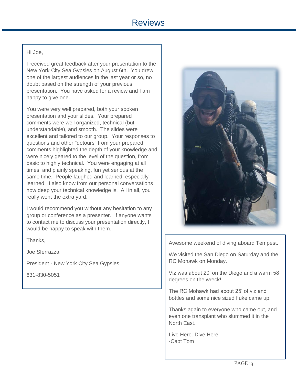#### Hi Joe,

I received great feedback after your presentation to the New York City Sea Gypsies on August 6th. You drew one of the largest audiences in the last year or so, no doubt based on the strength of your previous presentation. You have asked for a review and I am happy to give one.

You were very well prepared, both your spoken presentation and your slides. Your prepared comments were well organized, technical (but understandable), and smooth. The slides were excellent and tailored to our group. Your responses to questions and other "detours" from your prepared comments highlighted the depth of your knowledge and were nicely geared to the level of the question, from basic to highly technical. You were engaging at all times, and plainly speaking, fun yet serious at the same time. People laughed and learned, especially learned. I also know from our personal conversations how deep your technical knowledge is. All in all, you really went the extra yard.

I would recommend you without any hesitation to any group or conference as a presenter. If anyone wants to contact me to discuss your presentation directly, I would be happy to speak with them.

Thanks,

Joe Sferrazza

President - New York City Sea Gypsies

631-830-5051



Awesome weekend of diving aboard Tempest.

We visited the San Diego on Saturday and the RC Mohawk on Monday.

Viz was about 20' on the Diego and a warm 58 degrees on the wreck!

The RC Mohawk had about 25' of viz and bottles and some nice sized fluke came up.

Thanks again to everyone who came out, and even one transplant who slummed it in the North East.

Live Here. Dive Here. -Capt Tom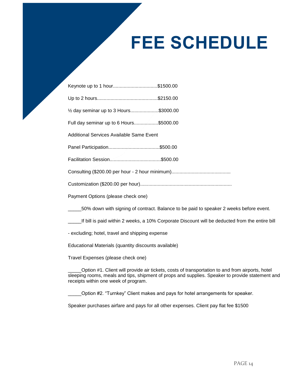# **FEE SCHEDULE**

| Keynote up to 1 hour\$1500.00                                                                                         |
|-----------------------------------------------------------------------------------------------------------------------|
|                                                                                                                       |
| 1/2 day seminar up to 3 Hours\$3000.00                                                                                |
| Full day seminar up to 6 Hours\$5000.00                                                                               |
| <b>Additional Services Available Same Event</b>                                                                       |
|                                                                                                                       |
|                                                                                                                       |
|                                                                                                                       |
|                                                                                                                       |
| Payment Options (please check one)                                                                                    |
| 50% down with signing of contract. Balance to be paid to speaker 2 weeks before event.                                |
| بالمستلفين ويطلبه وممشا ومقويا والمسالح واللاب واستحصارها والمستحدث والمعارض والمستحدث والمستحدث المتابعة والتارا ألل |

\_\_\_\_\_If bill is paid within 2 weeks, a 10% Corporate Discount will be deducted from the entire bill

- excluding; hotel, travel and shipping expense

Educational Materials (quantity discounts available)

Travel Expenses (please check one)

\_\_\_\_\_Option #1. Client will provide air tickets, costs of transportation to and from airports, hotel sleeping rooms, meals and tips, shipment of props and supplies. Speaker to provide statement and receipts within one week of program.

\_\_\_\_\_Option #2. "Turnkey" Client makes and pays for hotel arrangements for speaker.

Speaker purchases airfare and pays for all other expenses. Client pay flat fee \$1500